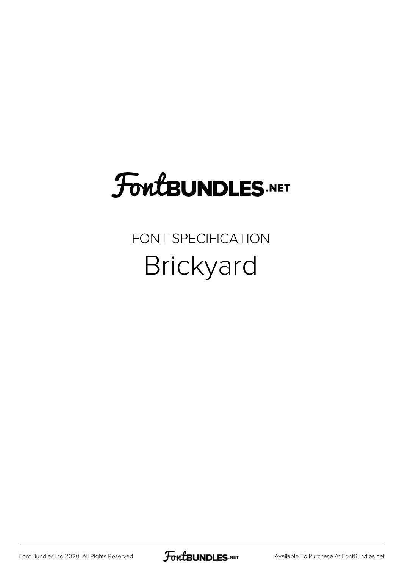# FoutBUNDLES.NET

FONT SPECIFICATION Brickyard

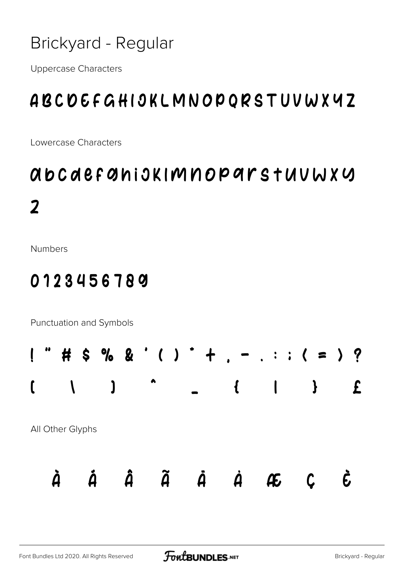#### Brickyard - Regular

**Uppercase Characters** 

## ABCOEFGHIOKLMNOPQRSTUVWX4Z

Lowercase Characters

# abcdefoniokImnoparstuvwxy  $\overline{\mathbf{2}}$

**Numbers** 

### 0123456789

Punctuation and Symbols

| $\overline{\mathfrak{l}}$ | $\bullet$ |                  | # \$ % & ' ( ) * + , - . : : ( = ) ? |  |  |                  |   |   |      |  |              |
|---------------------------|-----------|------------------|--------------------------------------|--|--|------------------|---|---|------|--|--------------|
|                           |           |                  |                                      |  |  |                  |   |   | $\}$ |  | $\mathbf{E}$ |
|                           |           | All Other Glyphs |                                      |  |  |                  |   |   |      |  |              |
|                           |           |                  |                                      |  |  | $\boldsymbol{A}$ | A | Æ |      |  |              |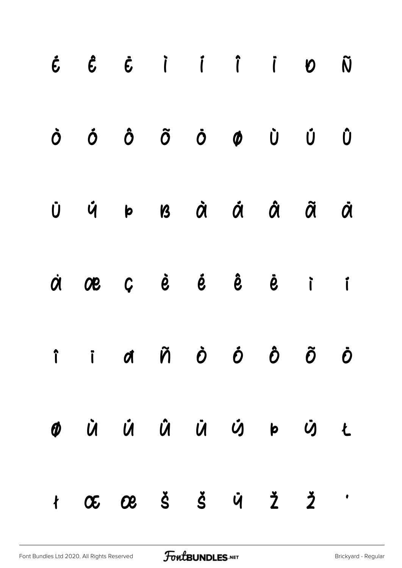|  | $\dot{E}$ $\dot{E}$ $\dot{E}$ i i i i i $\dot{D}$ $\tilde{N}$                                                                                            |  |  |  |
|--|----------------------------------------------------------------------------------------------------------------------------------------------------------|--|--|--|
|  | $\dot{\mathbf{o}}$ $\dot{\mathbf{o}}$ $\dot{\mathbf{o}}$ $\ddot{\mathbf{o}}$ $\dot{\mathbf{o}}$ $\dot{\mathbf{o}}$ $\dot{\mathbf{o}}$ $\dot{\mathbf{o}}$ |  |  |  |
|  | Ù Ý Þ 13 Ở Ở Ô Ở Ở                                                                                                                                       |  |  |  |
|  | à œu cè é ê è i i                                                                                                                                        |  |  |  |
|  | $\hat{\mathsf{r}}$ id $\tilde{\mathsf{n}}$ $\hat{\mathsf{o}}$ $\hat{\mathsf{o}}$ $\hat{\mathsf{o}}$ $\tilde{\mathsf{o}}$ $\tilde{\mathsf{o}}$            |  |  |  |
|  | O Ù Ú Û Û Ú Ú Ý Þ Ú Ł                                                                                                                                    |  |  |  |
|  | $\begin{array}{ccccccccccccccccc}\n t & \text{CE} & \text{CE} & \text{CE} & \text{S} & \text{S} & \text{C} & \text{C}\n\end{array}$                      |  |  |  |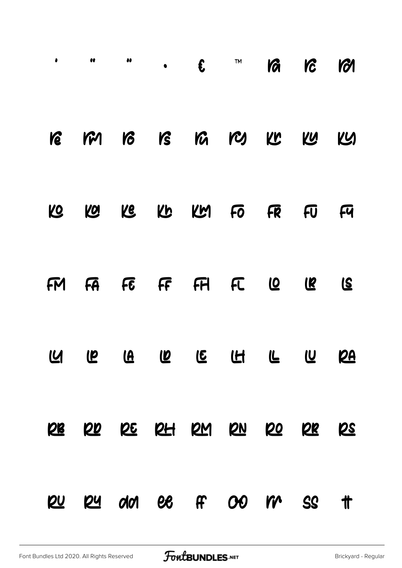| $\pmb{\delta}$ | $\bullet$ | $\bullet\bullet$ | $\bullet$ $\bullet$ $\bullet$ $\bullet$ $\bullet$ $\bullet$                             |   |           | ron          |
|----------------|-----------|------------------|-----------------------------------------------------------------------------------------|---|-----------|--------------|
|                | re ren    |                  | 18 IS IG ICS KL KL KLS                                                                  |   |           |              |
| KO             |           |                  | KO KE KO KO FO FR FU FU                                                                 |   |           |              |
|                |           |                  | FM FA FC FF FH FC LQ LR                                                                 |   |           | $\mathbf{S}$ |
| <u> ଏ</u>      |           |                  | <b>The US OF SIDE CONTROLLER CONTROLLER CONTROLLER CONTROLLER CONTROLLER CONTROLLER</b> |   |           | <b>24</b>    |
| 52             |           |                  | KO KE KH KW KW KO                                                                       |   | <b>SK</b> | <b>29</b>    |
| <b>20</b>      |           |                  | 24 da ee F 00                                                                           | m | SS        | $\Vert$      |